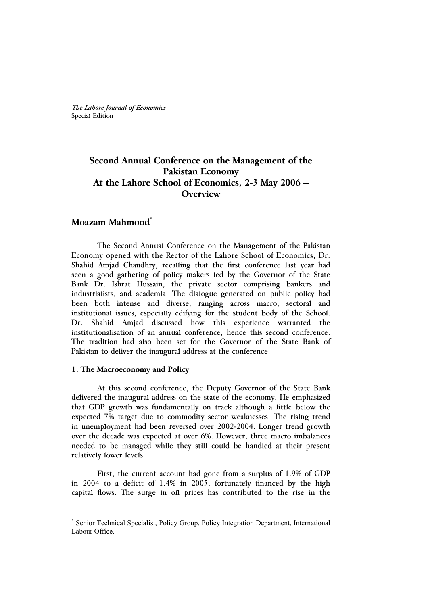*The Lahore Journal of Economics* Special Edition

# **Second Annual Conference on the Management of the Pakistan Economy At the Lahore School of Economics, 2-3 May 2006 – Overview**

# **Moazam Mahmood\***

The Second Annual Conference on the Management of the Pakistan Economy opened with the Rector of the Lahore School of Economics, Dr. Shahid Amjad Chaudhry, recalling that the first conference last year had seen a good gathering of policy makers led by the Governor of the State Bank Dr. Ishrat Hussain, the private sector comprising bankers and industrialists, and academia. The dialogue generated on public policy had been both intense and diverse, ranging across macro, sectoral and institutional issues, especially edifying for the student body of the School. Dr. Shahid Amjad discussed how this experience warranted the institutionalisation of an annual conference, hence this second conference. The tradition had also been set for the Governor of the State Bank of Pakistan to deliver the inaugural address at the conference.

### **1. The Macroeconomy and Policy**

At this second conference, the Deputy Governor of the State Bank delivered the inaugural address on the state of the economy. He emphasized that GDP growth was fundamentally on track although a little below the expected 7% target due to commodity sector weaknesses. The rising trend in unemployment had been reversed over 2002-2004. Longer trend growth over the decade was expected at over 6%. However, three macro imbalances needed to be managed while they still could be handled at their present relatively lower levels.

First, the current account had gone from a surplus of 1.9% of GDP in 2004 to a deficit of 1.4% in 2005, fortunately financed by the high capital flows. The surge in oil prices has contributed to the rise in the

<sup>\*</sup> Senior Technical Specialist, Policy Group, Policy Integration Department, International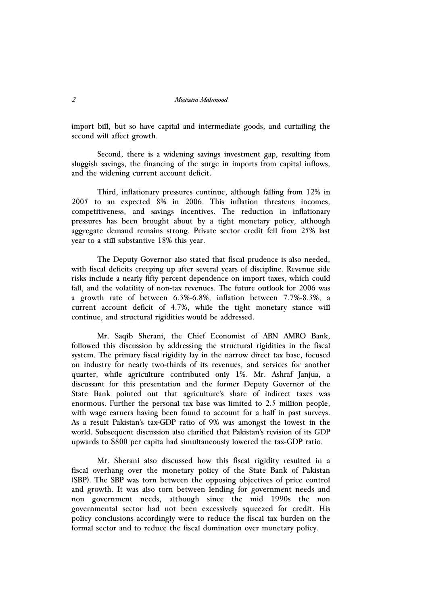#### *2 Moazam Mahmood*

import bill, but so have capital and intermediate goods, and curtailing the second will affect growth.

Second, there is a widening savings investment gap, resulting from sluggish savings, the financing of the surge in imports from capital inflows, and the widening current account deficit.

Third, inflationary pressures continue, although falling from 12% in 2005 to an expected 8% in 2006. This inflation threatens incomes, competitiveness, and savings incentives. The reduction in inflationary pressures has been brought about by a tight monetary policy, although aggregate demand remains strong. Private sector credit fell from 25% last year to a still substantive 18% this year.

The Deputy Governor also stated that fiscal prudence is also needed, with fiscal deficits creeping up after several years of discipline. Revenue side risks include a nearly fifty percent dependence on import taxes, which could fall, and the volatility of non-tax revenues. The future outlook for 2006 was a growth rate of between 6.3%-6.8%, inflation between 7.7%-8.3%, a current account deficit of 4.7%, while the tight monetary stance will continue, and structural rigidities would be addressed.

Mr. Saqib Sherani, the Chief Economist of ABN AMRO Bank, followed this discussion by addressing the structural rigidities in the fiscal system. The primary fiscal rigidity lay in the narrow direct tax base, focused on industry for nearly two-thirds of its revenues, and services for another quarter, while agriculture contributed only 1%. Mr. Ashraf Janjua, a discussant for this presentation and the former Deputy Governor of the State Bank pointed out that agriculture's share of indirect taxes was enormous. Further the personal tax base was limited to 2.5 million people, with wage earners having been found to account for a half in past surveys. As a result Pakistan's tax-GDP ratio of 9% was amongst the lowest in the world. Subsequent discussion also clarified that Pakistan's revision of its GDP upwards to \$800 per capita had simultaneously lowered the tax-GDP ratio.

Mr. Sherani also discussed how this fiscal rigidity resulted in a fiscal overhang over the monetary policy of the State Bank of Pakistan (SBP). The SBP was torn between the opposing objectives of price control and growth. It was also torn between lending for government needs and non government needs, although since the mid 1990s the non governmental sector had not been excessively squeezed for credit. His policy conclusions accordingly were to reduce the fiscal tax burden on the formal sector and to reduce the fiscal domination over monetary policy.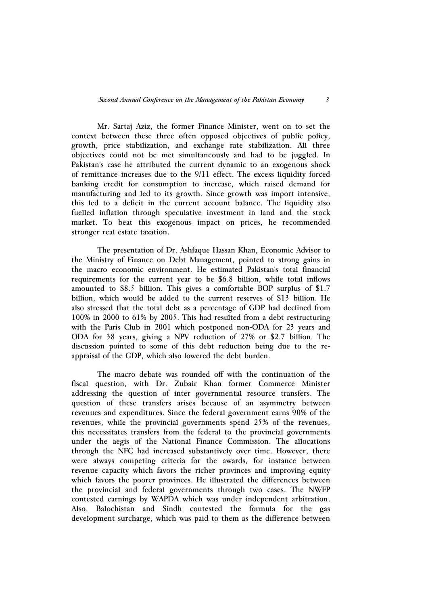Mr. Sartaj Aziz, the former Finance Minister, went on to set the context between these three often opposed objectives of public policy, growth, price stabilization, and exchange rate stabilization. All three objectives could not be met simultaneously and had to be juggled. In Pakistan's case he attributed the current dynamic to an exogenous shock of remittance increases due to the 9/11 effect. The excess liquidity forced banking credit for consumption to increase, which raised demand for manufacturing and led to its growth. Since growth was import intensive, this led to a deficit in the current account balance. The liquidity also fuelled inflation through speculative investment in land and the stock market. To beat this exogenous impact on prices, he recommended stronger real estate taxation.

The presentation of Dr. Ashfaque Hassan Khan, Economic Advisor to the Ministry of Finance on Debt Management, pointed to strong gains in the macro economic environment. He estimated Pakistan's total financial requirements for the current year to be \$6.8 billion, while total inflows amounted to \$8.5 billion. This gives a comfortable BOP surplus of \$1.7 billion, which would be added to the current reserves of \$13 billion. He also stressed that the total debt as a percentage of GDP had declined from 100% in 2000 to 61% by 2005. This had resulted from a debt restructuring with the Paris Club in 2001 which postponed non-ODA for 23 years and ODA for 38 years, giving a NPV reduction of 27% or \$2.7 billion. The discussion pointed to some of this debt reduction being due to the reappraisal of the GDP, which also lowered the debt burden.

The macro debate was rounded off with the continuation of the fiscal question, with Dr. Zubair Khan former Commerce Minister addressing the question of inter governmental resource transfers. The question of these transfers arises because of an asymmetry between revenues and expenditures. Since the federal government earns 90% of the revenues, while the provincial governments spend 25% of the revenues, this necessitates transfers from the federal to the provincial governments under the aegis of the National Finance Commission. The allocations through the NFC had increased substantively over time. However, there were always competing criteria for the awards, for instance between revenue capacity which favors the richer provinces and improving equity which favors the poorer provinces. He illustrated the differences between the provincial and federal governments through two cases. The NWFP contested earnings by WAPDA which was under independent arbitration. Also, Balochistan and Sindh contested the formula for the gas development surcharge, which was paid to them as the difference between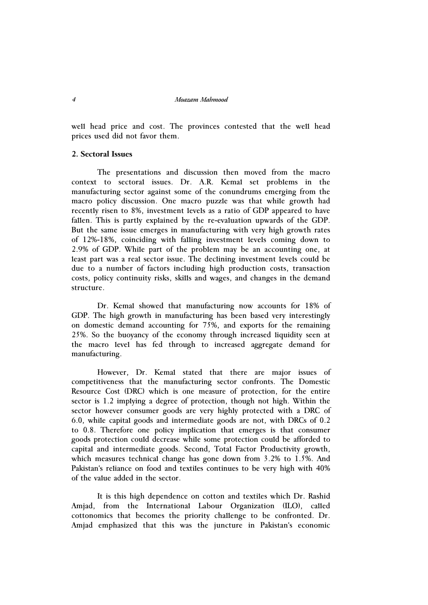#### *4 Moazam Mahmood*

well head price and cost. The provinces contested that the well head prices used did not favor them.

## **2. Sectoral Issues**

The presentations and discussion then moved from the macro context to sectoral issues. Dr. A.R. Kemal set problems in the manufacturing sector against some of the conundrums emerging from the macro policy discussion. One macro puzzle was that while growth had recently risen to 8%, investment levels as a ratio of GDP appeared to have fallen. This is partly explained by the re-evaluation upwards of the GDP. But the same issue emerges in manufacturing with very high growth rates of 12%-18%, coinciding with falling investment levels coming down to 2.9% of GDP. While part of the problem may be an accounting one, at least part was a real sector issue. The declining investment levels could be due to a number of factors including high production costs, transaction costs, policy continuity risks, skills and wages, and changes in the demand structure.

Dr. Kemal showed that manufacturing now accounts for 18% of GDP. The high growth in manufacturing has been based very interestingly on domestic demand accounting for 75%, and exports for the remaining 25%. So the buoyancy of the economy through increased liquidity seen at the macro level has fed through to increased aggregate demand for manufacturing.

However, Dr. Kemal stated that there are major issues of competitiveness that the manufacturing sector confronts. The Domestic Resource Cost (DRC) which is one measure of protection, for the entire sector is 1.2 implying a degree of protection, though not high. Within the sector however consumer goods are very highly protected with a DRC of 6.0, while capital goods and intermediate goods are not, with DRCs of 0.2 to 0.8. Therefore one policy implication that emerges is that consumer goods protection could decrease while some protection could be afforded to capital and intermediate goods. Second, Total Factor Productivity growth, which measures technical change has gone down from 3.2% to 1.5%. And Pakistan's reliance on food and textiles continues to be very high with 40% of the value added in the sector.

It is this high dependence on cotton and textiles which Dr. Rashid Amjad, from the International Labour Organization (ILO), called cottonomics that becomes the priority challenge to be confronted. Dr. Amjad emphasized that this was the juncture in Pakistan's economic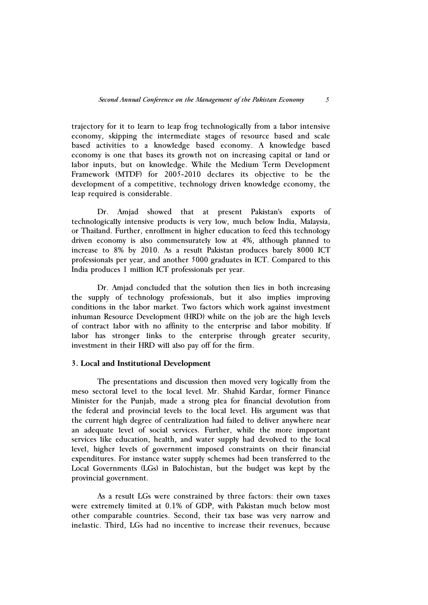trajectory for it to learn to leap frog technologically from a labor intensive economy, skipping the intermediate stages of resource based and scale based activities to a knowledge based economy. A knowledge based economy is one that bases its growth not on increasing capital or land or labor inputs, but on knowledge. While the Medium Term Development Framework (MTDF) for 2005-2010 declares its objective to be the development of a competitive, technology driven knowledge economy, the leap required is considerable.

Dr. Amjad showed that at present Pakistan's exports of technologically intensive products is very low, much below India, Malaysia, or Thailand. Further, enrollment in higher education to feed this technology driven economy is also commensurately low at 4%, although planned to increase to 8% by 2010. As a result Pakistan produces barely 8000 ICT professionals per year, and another 5000 graduates in ICT. Compared to this India produces 1 million ICT professionals per year.

Dr. Amjad concluded that the solution then lies in both increasing the supply of technology professionals, but it also implies improving conditions in the labor market. Two factors which work against investment inhuman Resource Development (HRD) while on the job are the high levels of contract labor with no affinity to the enterprise and labor mobility. If labor has stronger links to the enterprise through greater security, investment in their HRD will also pay off for the firm.

#### **3. Local and Institutional Development**

The presentations and discussion then moved very logically from the meso sectoral level to the local level. Mr. Shahid Kardar, former Finance Minister for the Punjab, made a strong plea for financial devolution from the federal and provincial levels to the local level. His argument was that the current high degree of centralization had failed to deliver anywhere near an adequate level of social services. Further, while the more important services like education, health, and water supply had devolved to the local level, higher levels of government imposed constraints on their financial expenditures. For instance water supply schemes had been transferred to the Local Governments (LGs) in Balochistan, but the budget was kept by the provincial government.

As a result LGs were constrained by three factors: their own taxes were extremely limited at 0.1% of GDP, with Pakistan much below most other comparable countries. Second, their tax base was very narrow and inelastic. Third, LGs had no incentive to increase their revenues, because